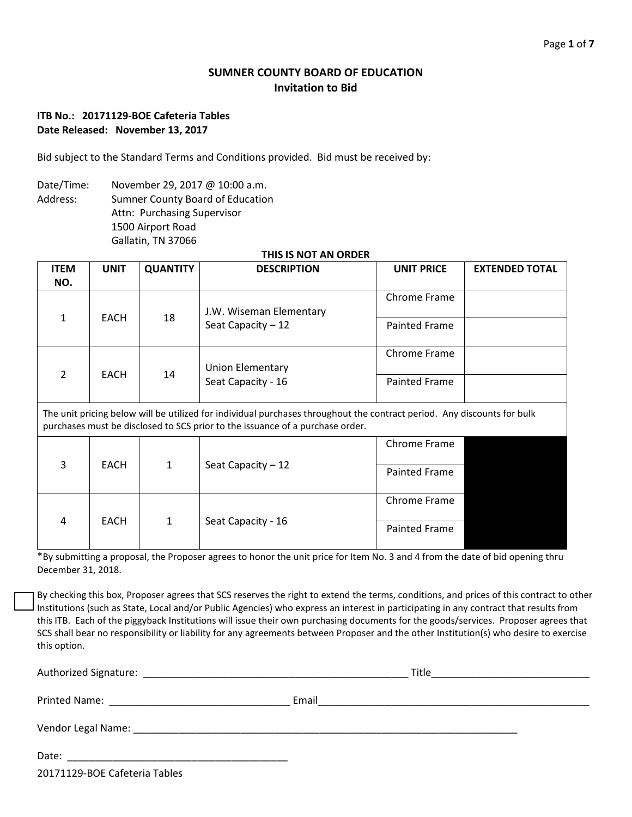## **SUMNER COUNTY BOARD OF EDUCATION Invitation to Bid**

#### **ITB No.: 20171129-BOE Cafeteria Tables Date Released: November 13, 2017**

Bid subject to the Standard Terms and Conditions provided. Bid must be received by:

Date/Time: November 29, 2017 @ 10:00 a.m. Address: Sumner County Board of Education Attn: Purchasing Supervisor 1500 Airport Road Gallatin, TN 37066

| <b>ITEM</b><br>NO.                                                                                                                                                                                       | <b>UNIT</b> | <b>QUANTITY</b> | <b>DESCRIPTION</b>                            | <b>UNIT PRICE</b>    | <b>EXTENDED TOTAL</b> |
|----------------------------------------------------------------------------------------------------------------------------------------------------------------------------------------------------------|-------------|-----------------|-----------------------------------------------|----------------------|-----------------------|
| $\mathbf{1}$                                                                                                                                                                                             | <b>EACH</b> | 18              | J.W. Wiseman Elementary<br>Seat Capacity - 12 | Chrome Frame         |                       |
|                                                                                                                                                                                                          |             |                 |                                               | <b>Painted Frame</b> |                       |
| $\overline{2}$                                                                                                                                                                                           | EACH        | 14              | <b>Union Elementary</b><br>Seat Capacity - 16 | Chrome Frame         |                       |
|                                                                                                                                                                                                          |             |                 |                                               | Painted Frame        |                       |
| The unit pricing below will be utilized for individual purchases throughout the contract period. Any discounts for bulk<br>purchases must be disclosed to SCS prior to the issuance of a purchase order. |             |                 |                                               |                      |                       |
| 3                                                                                                                                                                                                        | <b>EACH</b> | $\mathbf{1}$    | Seat Capacity $-12$                           | Chrome Frame         |                       |
|                                                                                                                                                                                                          |             |                 |                                               | Painted Frame        |                       |
| 4                                                                                                                                                                                                        | <b>EACH</b> | $\mathbf{1}$    | Seat Capacity - 16                            | Chrome Frame         |                       |
|                                                                                                                                                                                                          |             |                 |                                               | Painted Frame        |                       |

**THIS IS NOT AN ORDER**

\*By submitting a proposal, the Proposer agrees to honor the unit price for Item No. 3 and 4 from the date of bid opening thru December 31, 2018.

By checking this box, Proposer agrees that SCS reserves the right to extend the terms, conditions, and prices of this contract to other Institutions (such as State, Local and/or Public Agencies) who express an interest in participating in any contract that results from this ITB. Each of the piggyback Institutions will issue their own purchasing documents for the goods/services. Proposer agrees that SCS shall bear no responsibility or liability for any agreements between Proposer and the other Institution(s) who desire to exercise this option.

| 20171129-BOE Cafeteria Tables |  |  |
|-------------------------------|--|--|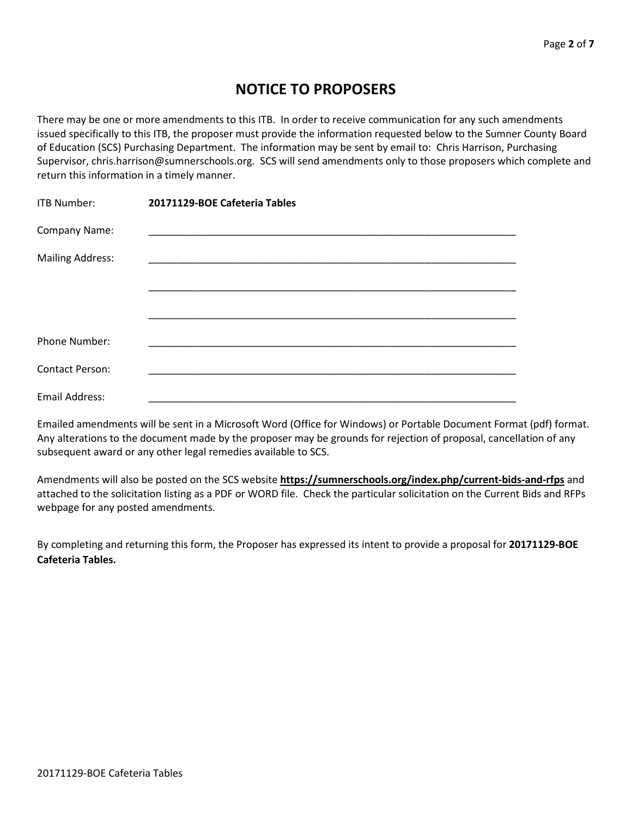# **NOTICE TO PROPOSERS**

There may be one or more amendments to this ITB. In order to receive communication for any such amendments issued specifically to this ITB, the proposer must provide the information requested below to the Sumner County Board of Education (SCS) Purchasing Department. The information may be sent by email to: Chris Harrison, Purchasing Supervisor, chris.harrison@sumnerschools.org. SCS will send amendments only to those proposers which complete and return this information in a timely manner.

| <b>ITB Number:</b>      | 20171129-BOE Cafeteria Tables |
|-------------------------|-------------------------------|
| Company Name:           |                               |
| <b>Mailing Address:</b> |                               |
|                         |                               |
|                         |                               |
|                         |                               |
| Phone Number:           |                               |
| <b>Contact Person:</b>  |                               |
| Email Address:          |                               |

Emailed amendments will be sent in a Microsoft Word (Office for Windows) or Portable Document Format (pdf) format. Any alterations to the document made by the proposer may be grounds for rejection of proposal, cancellation of any subsequent award or any other legal remedies available to SCS.

Amendments will also be posted on the SCS website **https://sumnerschools.org/index.php/current-bids-and-rfps** and attached to the solicitation listing as a PDF or WORD file. Check the particular solicitation on the Current Bids and RFPs webpage for any posted amendments.

By completing and returning this form, the Proposer has expressed its intent to provide a proposal for **20171129-BOE Cafeteria Tables.**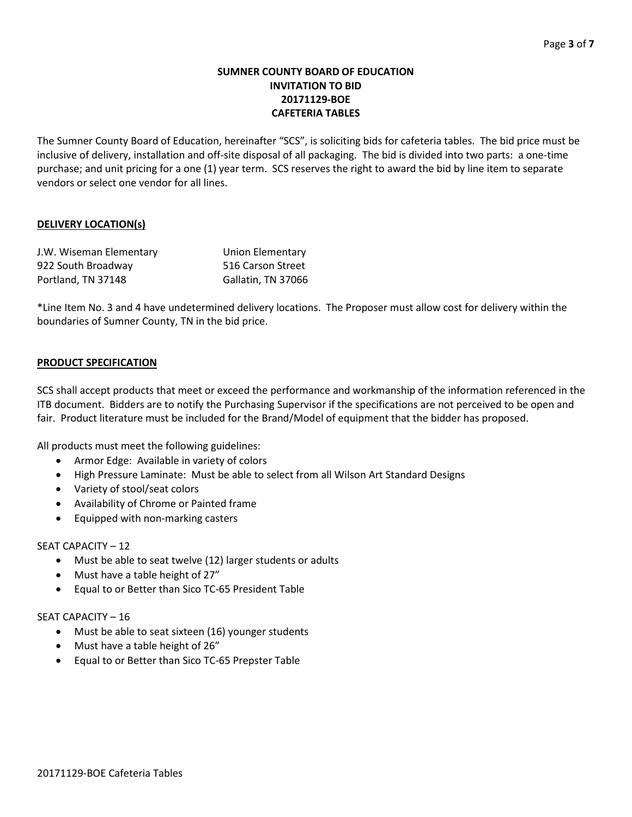#### **SUMNER COUNTY BOARD OF EDUCATION INVITATION TO BID 20171129-BOE CAFETERIA TABLES**

The Sumner County Board of Education, hereinafter "SCS", is soliciting bids for cafeteria tables. The bid price must be inclusive of delivery, installation and off-site disposal of all packaging. The bid is divided into two parts: a one-time purchase; and unit pricing for a one (1) year term. SCS reserves the right to award the bid by line item to separate vendors or select one vendor for all lines.

### **DELIVERY LOCATION(s)**

| J.W. Wiseman Elementary | Union Elementary   |
|-------------------------|--------------------|
| 922 South Broadway      | 516 Carson Street  |
| Portland, TN 37148      | Gallatin, TN 37066 |

\*Line Item No. 3 and 4 have undetermined delivery locations. The Proposer must allow cost for delivery within the boundaries of Sumner County, TN in the bid price.

### **PRODUCT SPECIFICATION**

SCS shall accept products that meet or exceed the performance and workmanship of the information referenced in the ITB document. Bidders are to notify the Purchasing Supervisor if the specifications are not perceived to be open and fair. Product literature must be included for the Brand/Model of equipment that the bidder has proposed.

All products must meet the following guidelines:

- Armor Edge: Available in variety of colors
- High Pressure Laminate: Must be able to select from all Wilson Art Standard Designs
- Variety of stool/seat colors
- Availability of Chrome or Painted frame
- Equipped with non-marking casters

#### SEAT CAPACITY – 12

- Must be able to seat twelve (12) larger students or adults
- Must have a table height of 27"
- Equal to or Better than Sico TC-65 President Table

#### SEAT CAPACITY – 16

- Must be able to seat sixteen (16) younger students
- Must have a table height of 26"
- Equal to or Better than Sico TC-65 Prepster Table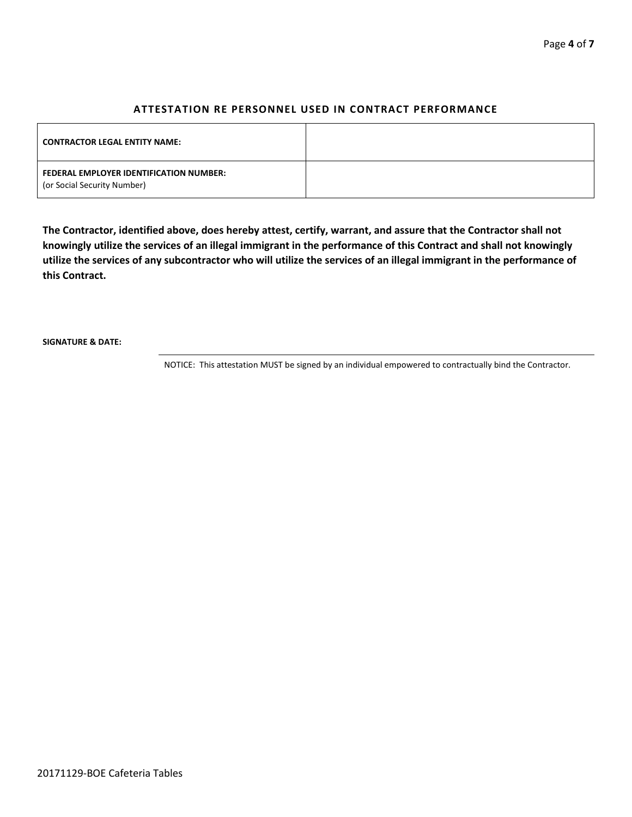#### **ATTESTATION RE PERSONNEL USED IN CONTRACT PERFORMANCE**

| <b>CONTRACTOR LEGAL ENTITY NAME:</b>                                   |  |
|------------------------------------------------------------------------|--|
| FEDERAL EMPLOYER IDENTIFICATION NUMBER:<br>(or Social Security Number) |  |

**The Contractor, identified above, does hereby attest, certify, warrant, and assure that the Contractor shall not knowingly utilize the services of an illegal immigrant in the performance of this Contract and shall not knowingly utilize the services of any subcontractor who will utilize the services of an illegal immigrant in the performance of this Contract.**

**SIGNATURE & DATE:**

NOTICE: This attestation MUST be signed by an individual empowered to contractually bind the Contractor.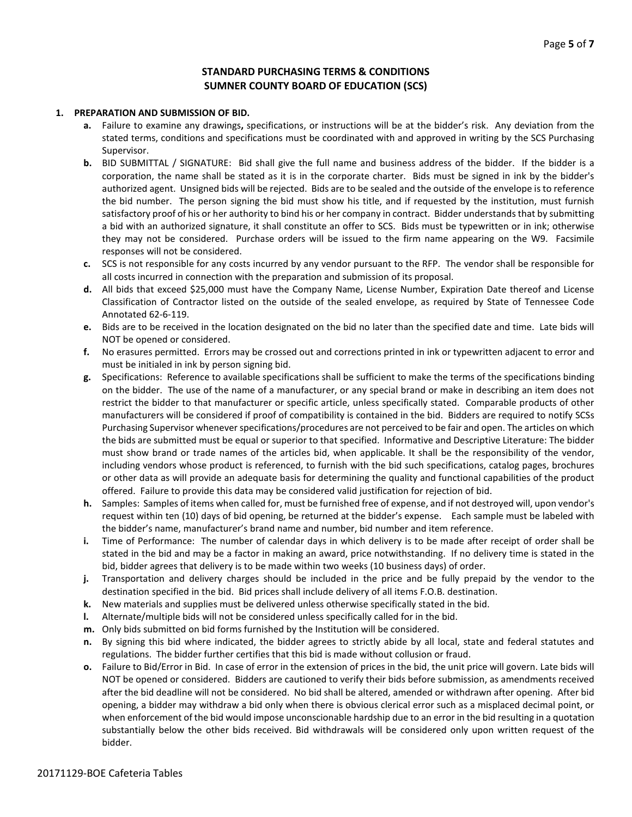#### **STANDARD PURCHASING TERMS & CONDITIONS SUMNER COUNTY BOARD OF EDUCATION (SCS)**

#### **1. PREPARATION AND SUBMISSION OF BID.**

- **a.** Failure to examine any drawings**,** specifications, or instructions will be at the bidder's risk. Any deviation from the stated terms, conditions and specifications must be coordinated with and approved in writing by the SCS Purchasing Supervisor.
- **b.** BID SUBMITTAL / SIGNATURE: Bid shall give the full name and business address of the bidder. If the bidder is a corporation, the name shall be stated as it is in the corporate charter. Bids must be signed in ink by the bidder's authorized agent. Unsigned bids will be rejected. Bids are to be sealed and the outside of the envelope is to reference the bid number. The person signing the bid must show his title, and if requested by the institution, must furnish satisfactory proof of his or her authority to bind his or her company in contract. Bidder understands that by submitting a bid with an authorized signature, it shall constitute an offer to SCS. Bids must be typewritten or in ink; otherwise they may not be considered. Purchase orders will be issued to the firm name appearing on the W9. Facsimile responses will not be considered.
- **c.** SCS is not responsible for any costs incurred by any vendor pursuant to the RFP. The vendor shall be responsible for all costs incurred in connection with the preparation and submission of its proposal.
- **d.** All bids that exceed \$25,000 must have the Company Name, License Number, Expiration Date thereof and License Classification of Contractor listed on the outside of the sealed envelope, as required by State of Tennessee Code Annotated 62-6-119.
- **e.** Bids are to be received in the location designated on the bid no later than the specified date and time. Late bids will NOT be opened or considered.
- **f.** No erasures permitted. Errors may be crossed out and corrections printed in ink or typewritten adjacent to error and must be initialed in ink by person signing bid.
- **g.** Specifications: Reference to available specifications shall be sufficient to make the terms of the specifications binding on the bidder. The use of the name of a manufacturer, or any special brand or make in describing an item does not restrict the bidder to that manufacturer or specific article, unless specifically stated. Comparable products of other manufacturers will be considered if proof of compatibility is contained in the bid. Bidders are required to notify SCSs Purchasing Supervisor whenever specifications/procedures are not perceived to be fair and open. The articles on which the bids are submitted must be equal or superior to that specified. Informative and Descriptive Literature: The bidder must show brand or trade names of the articles bid, when applicable. It shall be the responsibility of the vendor, including vendors whose product is referenced, to furnish with the bid such specifications, catalog pages, brochures or other data as will provide an adequate basis for determining the quality and functional capabilities of the product offered. Failure to provide this data may be considered valid justification for rejection of bid.
- **h.** Samples: Samples of items when called for, must be furnished free of expense, and if not destroyed will, upon vendor's request within ten (10) days of bid opening, be returned at the bidder's expense. Each sample must be labeled with the bidder's name, manufacturer's brand name and number, bid number and item reference.
- **i.** Time of Performance: The number of calendar days in which delivery is to be made after receipt of order shall be stated in the bid and may be a factor in making an award, price notwithstanding. If no delivery time is stated in the bid, bidder agrees that delivery is to be made within two weeks (10 business days) of order.
- **j.** Transportation and delivery charges should be included in the price and be fully prepaid by the vendor to the destination specified in the bid. Bid prices shall include delivery of all items F.O.B. destination.
- **k.** New materials and supplies must be delivered unless otherwise specifically stated in the bid.
- **l.** Alternate/multiple bids will not be considered unless specifically called for in the bid.
- **m.** Only bids submitted on bid forms furnished by the Institution will be considered.
- **n.** By signing this bid where indicated, the bidder agrees to strictly abide by all local, state and federal statutes and regulations. The bidder further certifies that this bid is made without collusion or fraud.
- **o.** Failure to Bid/Error in Bid. In case of error in the extension of prices in the bid, the unit price will govern. Late bids will NOT be opened or considered. Bidders are cautioned to verify their bids before submission, as amendments received after the bid deadline will not be considered. No bid shall be altered, amended or withdrawn after opening. After bid opening, a bidder may withdraw a bid only when there is obvious clerical error such as a misplaced decimal point, or when enforcement of the bid would impose unconscionable hardship due to an error in the bid resulting in a quotation substantially below the other bids received. Bid withdrawals will be considered only upon written request of the bidder.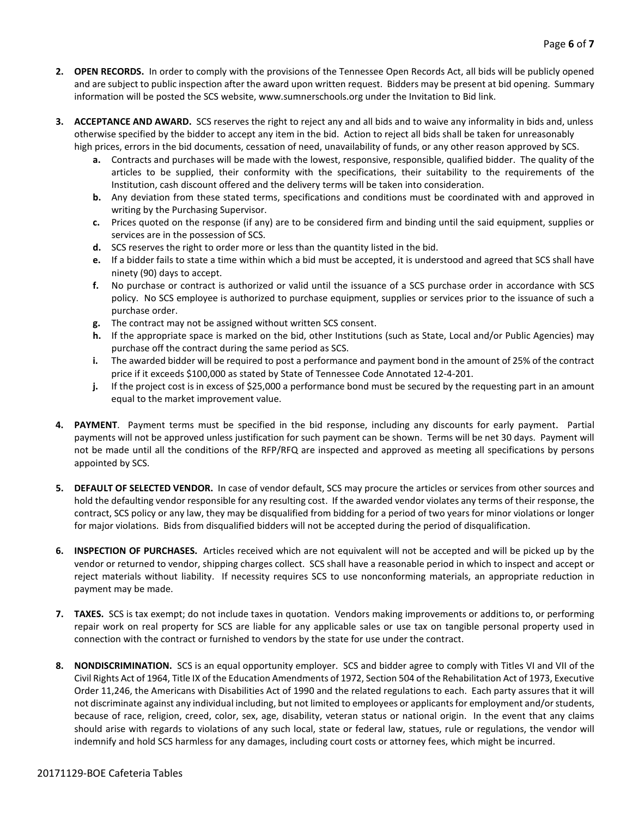- **2. OPEN RECORDS.** In order to comply with the provisions of the Tennessee Open Records Act, all bids will be publicly opened and are subject to public inspection after the award upon written request. Bidders may be present at bid opening. Summary information will be posted the SCS website, www.sumnerschools.org under the Invitation to Bid link.
- **3. ACCEPTANCE AND AWARD.** SCS reserves the right to reject any and all bids and to waive any informality in bids and, unless otherwise specified by the bidder to accept any item in the bid. Action to reject all bids shall be taken for unreasonably high prices, errors in the bid documents, cessation of need, unavailability of funds, or any other reason approved by SCS.
	- **a.** Contracts and purchases will be made with the lowest, responsive, responsible, qualified bidder. The quality of the articles to be supplied, their conformity with the specifications, their suitability to the requirements of the Institution, cash discount offered and the delivery terms will be taken into consideration.
	- **b.** Any deviation from these stated terms, specifications and conditions must be coordinated with and approved in writing by the Purchasing Supervisor.
	- **c.** Prices quoted on the response (if any) are to be considered firm and binding until the said equipment, supplies or services are in the possession of SCS.
	- **d.** SCS reserves the right to order more or less than the quantity listed in the bid.
	- **e.** If a bidder fails to state a time within which a bid must be accepted, it is understood and agreed that SCS shall have ninety (90) days to accept.
	- **f.** No purchase or contract is authorized or valid until the issuance of a SCS purchase order in accordance with SCS policy. No SCS employee is authorized to purchase equipment, supplies or services prior to the issuance of such a purchase order.
	- **g.** The contract may not be assigned without written SCS consent.
	- **h.** If the appropriate space is marked on the bid, other Institutions (such as State, Local and/or Public Agencies) may purchase off the contract during the same period as SCS.
	- **i.** The awarded bidder will be required to post a performance and payment bond in the amount of 25% of the contract price if it exceeds \$100,000 as stated by State of Tennessee Code Annotated 12-4-201.
	- **j.** If the project cost is in excess of \$25,000 a performance bond must be secured by the requesting part in an amount equal to the market improvement value.
- **4. PAYMENT**. Payment terms must be specified in the bid response, including any discounts for early payment. Partial payments will not be approved unless justification for such payment can be shown. Terms will be net 30 days. Payment will not be made until all the conditions of the RFP/RFQ are inspected and approved as meeting all specifications by persons appointed by SCS.
- **5. DEFAULT OF SELECTED VENDOR.** In case of vendor default, SCS may procure the articles or services from other sources and hold the defaulting vendor responsible for any resulting cost. If the awarded vendor violates any terms of their response, the contract, SCS policy or any law, they may be disqualified from bidding for a period of two years for minor violations or longer for major violations. Bids from disqualified bidders will not be accepted during the period of disqualification.
- **6. INSPECTION OF PURCHASES.** Articles received which are not equivalent will not be accepted and will be picked up by the vendor or returned to vendor, shipping charges collect. SCS shall have a reasonable period in which to inspect and accept or reject materials without liability. If necessity requires SCS to use nonconforming materials, an appropriate reduction in payment may be made.
- **7. TAXES.** SCS is tax exempt; do not include taxes in quotation. Vendors making improvements or additions to, or performing repair work on real property for SCS are liable for any applicable sales or use tax on tangible personal property used in connection with the contract or furnished to vendors by the state for use under the contract.
- **8. NONDISCRIMINATION.** SCS is an equal opportunity employer. SCS and bidder agree to comply with Titles VI and VII of the Civil Rights Act of 1964, Title IX of the Education Amendments of 1972, Section 504 of the Rehabilitation Act of 1973, Executive Order 11,246, the Americans with Disabilities Act of 1990 and the related regulations to each. Each party assures that it will not discriminate against any individual including, but not limited to employees or applicants for employment and/or students, because of race, religion, creed, color, sex, age, disability, veteran status or national origin. In the event that any claims should arise with regards to violations of any such local, state or federal law, statues, rule or regulations, the vendor will indemnify and hold SCS harmless for any damages, including court costs or attorney fees, which might be incurred.